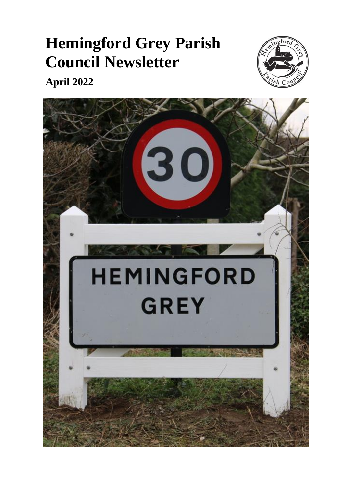# **Hemingford Grey Parish Council Newsletter**



**April 2022**

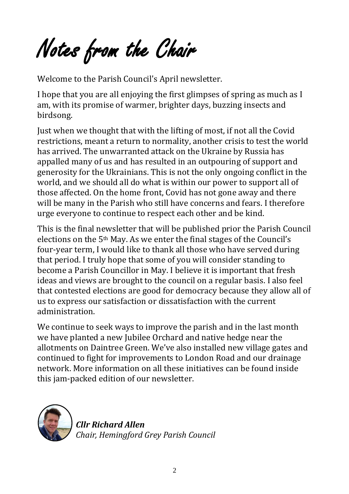Notes from the Chair

Welcome to the Parish Council's April newsletter.

I hope that you are all enjoying the first glimpses of spring as much as I am, with its promise of warmer, brighter days, buzzing insects and birdsong.

Just when we thought that with the lifting of most, if not all the Covid restrictions, meant a return to normality, another crisis to test the world has arrived. The unwarranted attack on the Ukraine by Russia has appalled many of us and has resulted in an outpouring of support and generosity for the Ukrainians. This is not the only ongoing conflict in the world, and we should all do what is within our power to support all of those affected. On the home front, Covid has not gone away and there will be many in the Parish who still have concerns and fears. I therefore urge everyone to continue to respect each other and be kind.

This is the final newsletter that will be published prior the Parish Council elections on the 5th May. As we enter the final stages of the Council's four-year term, I would like to thank all those who have served during that period. I truly hope that some of you will consider standing to become a Parish Councillor in May. I believe it is important that fresh ideas and views are brought to the council on a regular basis. I also feel that contested elections are good for democracy because they allow all of us to express our satisfaction or dissatisfaction with the current administration.

We continue to seek ways to improve the parish and in the last month we have planted a new Jubilee Orchard and native hedge near the allotments on Daintree Green. We've also installed new village gates and continued to fight for improvements to London Road and our drainage network. More information on all these initiatives can be found inside this jam-packed edition of our newsletter.



ת י<br>נ *Cllr Richard Allen Chair, Hemingford Grey Parish Council*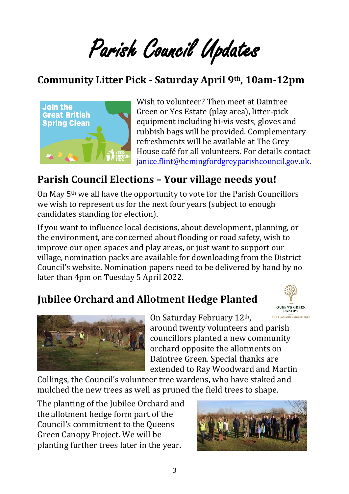Parish Council Updates

#### **Community Litter Pick - Saturday April 9th, 10am-12pm**



Wish to volunteer? Then meet at Daintree Green or Yes Estate (play area), litter-pick equipment including hi-vis vests, gloves and rubbish bags will be provided. Complementary refreshments will be available at The Grey House café for all volunteers. For details contact [janice.flint@hemingfordgreyparishcouncil.gov.uk.](mailto:janice.flint@hemingfordgreyparishcouncil.gov.uk)

#### **Parish Council Elections – Your village needs you!**

On May 5th we all have the opportunity to vote for the Parish Councillors we wish to represent us for the next four years (subject to enough candidates standing for election).

If you want to influence local decisions, about development, planning, or the environment, are concerned about flooding or road safety, wish to improve our open spaces and play areas, or just want to support our village, nomination packs are available for downloading from the District Council's website. Nomination papers need to be delivered by hand by no later than 4pm on Tuesday 5 April 2022.

#### **Jubilee Orchard and Allotment Hedge Planted**





On Saturday February 12th, around twenty volunteers and parish councillors planted a new community orchard opposite the allotments on Daintree Green. Special thanks are extended to Ray Woodward and Martin

Collings, the Council's volunteer tree wardens, who have staked and mulched the new trees as well as pruned the field trees to shape.

The planting of the Jubilee Orchard and the allotment hedge form part of the Council's commitment to the Queens Green Canopy Project. We will be planting further trees later in the year.

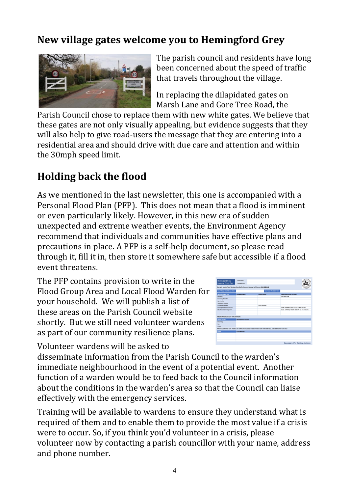#### **New village gates welcome you to Hemingford Grey**



The parish council and residents have long been concerned about the speed of traffic that travels throughout the village.

In replacing the dilapidated gates on Marsh Lane and Gore Tree Road, the

Parish Council chose to replace them with new white gates. We believe that these gates are not only visually appealing, but evidence suggests that they will also help to give road-users the message that they are entering into a residential area and should drive with due care and attention and within the 30mph speed limit.

#### **Holding back the flood**

As we mentioned in the last newsletter, this one is accompanied with a Personal Flood Plan (PFP). This does not mean that a flood is imminent or even particularly likely. However, in this new era of sudden unexpected and extreme weather events, the Environment Agency recommend that individuals and communities have effective plans and precautions in place. A PFP is a self-help document, so please read through it, fill it in, then store it somewhere safe but accessible if a flood event threatens.

The PFP contains provision to write in the Flood Group Area and Local Flood Warden for your household. We will publish a list of these areas on the Parish Council website shortly. But we still need volunteer wardens as part of our community resilience plans.



Volunteer wardens will be asked to

disseminate information from the Parish Council to the warden's immediate neighbourhood in the event of a potential event. Another function of a warden would be to feed back to the Council information about the conditions in the warden's area so that the Council can liaise effectively with the emergency services.

Training will be available to wardens to ensure they understand what is required of them and to enable them to provide the most value if a crisis were to occur. So, if you think you'd volunteer in a crisis, please volunteer now by contacting a parish councillor with your name, address and phone number.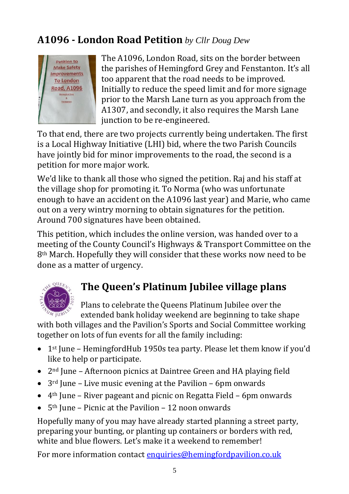### **A1096 - London Road Petition** *by Cllr Doug Dew*



The A1096, London Road, sits on the border between the parishes of Hemingford Grey and Fenstanton. It's all too apparent that the road needs to be improved. Initially to reduce the speed limit and for more signage prior to the Marsh Lane turn as you approach from the A1307, and secondly, it also requires the Marsh Lane junction to be re-engineered.

To that end, there are two projects currently being undertaken. The first is a Local Highway Initiative (LHI) bid, where the two Parish Councils have jointly bid for minor improvements to the road, the second is a petition for more major work.

We'd like to thank all those who signed the petition. Raj and his staff at the village shop for promoting it. To Norma (who was unfortunate enough to have an accident on the A1096 last year) and Marie, who came out on a very wintry morning to obtain signatures for the petition. Around 700 signatures have been obtained.

This petition, which includes the online version, was handed over to a meeting of the County Council's Highways & Transport Committee on the 8th March. Hopefully they will consider that these works now need to be done as a matter of urgency.



## **The Queen's Platinum Jubilee village plans**

Plans to celebrate the Queens Platinum Jubilee over the extended bank holiday weekend are beginning to take shape

with both villages and the Pavilion's Sports and Social Committee working together on lots of fun events for all the family including:

- 1<sup>st</sup> June HemingfordHub 1950s tea party. Please let them know if you'd like to help or participate.
- 2<sup>nd</sup> June Afternoon picnics at Daintree Green and HA playing field
- 3rd June Live music evening at the Pavilion 6pm onwards
- 4th June River pageant and picnic on Regatta Field 6pm onwards
- 5<sup>th</sup> June Picnic at the Pavilion 12 noon onwards

Hopefully many of you may have already started planning a street party, preparing your bunting, or planting up containers or borders with red, white and blue flowers. Let's make it a weekend to remember!

For more information contact [enquiries@hemingfordpavilion.co.uk](mailto:enquiries@hemingfordpavilion.co.uk)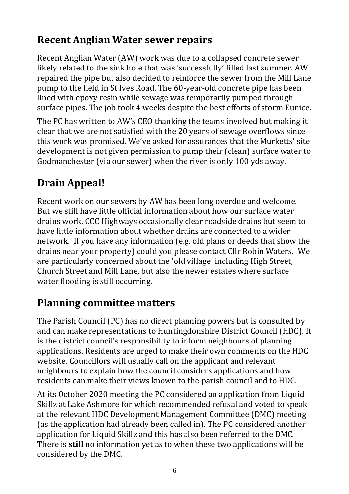#### **Recent Anglian Water sewer repairs**

Recent Anglian Water (AW) work was due to a collapsed concrete sewer likely related to the sink hole that was 'successfully' filled last summer. AW repaired the pipe but also decided to reinforce the sewer from the Mill Lane pump to the field in St Ives Road. The 60-year-old concrete pipe has been lined with epoxy resin while sewage was temporarily pumped through surface pipes. The job took 4 weeks despite the best efforts of storm Eunice.

The PC has written to AW's CEO thanking the teams involved but making it clear that we are not satisfied with the 20 years of sewage overflows since this work was promised. We've asked for assurances that the Murketts' site development is not given permission to pump their (clean) surface water to Godmanchester (via our sewer) when the river is only 100 yds away.

## **Drain Appeal!**

Recent work on our sewers by AW has been long overdue and welcome. But we still have little official information about how our surface water drains work. CCC Highways occasionally clear roadside drains but seem to have little information about whether drains are connected to a wider network. If you have any information (e.g. old plans or deeds that show the drains near your property) could you please contact Cllr Robin Waters. We are particularly concerned about the 'old village' including High Street, Church Street and Mill Lane, but also the newer estates where surface water flooding is still occurring.

#### **Planning committee matters**

The Parish Council (PC) has no direct planning powers but is consulted by and can make representations to Huntingdonshire District Council (HDC). It is the district council's responsibility to inform neighbours of planning applications. Residents are urged to make their own comments on the HDC website. Councillors will usually call on the applicant and relevant neighbours to explain how the council considers applications and how residents can make their views known to the parish council and to HDC.

At its October 2020 meeting the PC considered an application from Liquid Skillz at Lake Ashmore for which recommended refusal and voted to speak at the relevant HDC Development Management Committee (DMC) meeting (as the application had already been called in). The PC considered another application for Liquid Skillz and this has also been referred to the DMC. There is **still** no information yet as to when these two applications will be considered by the DMC.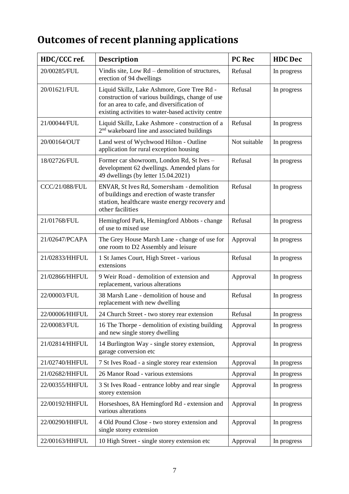## **Outcomes of recent planning applications**

| HDC/CCC ref.          | <b>Description</b>                                                                                                                                                                                   | <b>PC Rec</b> | <b>HDC</b> Dec |
|-----------------------|------------------------------------------------------------------------------------------------------------------------------------------------------------------------------------------------------|---------------|----------------|
| 20/00285/FUL          | Vindis site, Low Rd – demolition of structures,<br>erection of 94 dwellings                                                                                                                          | Refusal       | In progress    |
| 20/01621/FUL          | Liquid Skillz, Lake Ashmore, Gore Tree Rd -<br>construction of various buildings, change of use<br>for an area to cafe, and diversification of<br>existing activities to water-based activity centre | Refusal       | In progress    |
| 21/00044/FUL          | Liquid Skillz, Lake Ashmore - construction of a<br>2 <sup>nd</sup> wakeboard line and associated buildings                                                                                           | Refusal       | In progress    |
| 20/00164/OUT          | Land west of Wychwood Hilton - Outline<br>application for rural exception housing                                                                                                                    | Not suitable  | In progress    |
| 18/02726/FUL          | Former car showroom, London Rd, St Ives -<br>development 62 dwellings. Amended plans for<br>49 dwellings (by letter 15.04.2021)                                                                      | Refusal       | In progress    |
| <b>CCC/21/088/FUL</b> | ENVAR, St Ives Rd, Somersham - demolition<br>of buildings and erection of waste transfer<br>station, healthcare waste energy recovery and<br>other facilities                                        | Refusal       | In progress    |
| 21/01768/FUL          | Hemingford Park, Hemingford Abbots - change<br>of use to mixed use                                                                                                                                   | Refusal       | In progress    |
| 21/02647/PCAPA        | The Grey House Marsh Lane - change of use for<br>one room to D2 Assembly and leisure                                                                                                                 | Approval      | In progress    |
| 21/02833/HHFUL        | 1 St James Court, High Street - various<br>extensions                                                                                                                                                | Refusal       | In progress    |
| 21/02866/HHFUL        | 9 Weir Road - demolition of extension and<br>replacement, various alterations                                                                                                                        | Approval      | In progress    |
| 22/00003/FUL          | 38 Marsh Lane - demolition of house and<br>replacement with new dwelling                                                                                                                             | Refusal       | In progress    |
| 22/00006/HHFUL        | 24 Church Street - two storey rear extension                                                                                                                                                         | Refusal       | In progress    |
| 22/00083/FUL          | 16 The Thorpe - demolition of existing building<br>and new single storey dwelling                                                                                                                    | Approval      | In progress    |
| 21/02814/HHFUL        | 14 Burlington Way - single storey extension,<br>garage conversion etc                                                                                                                                | Approval      | In progress    |
| 21/02740/HHFUL        | 7 St Ives Road - a single storey rear extension                                                                                                                                                      | Approval      | In progress    |
| 21/02682/HHFUL        | 26 Manor Road - various extensions                                                                                                                                                                   | Approval      | In progress    |
| 22/00355/HHFUL        | 3 St Ives Road - entrance lobby and rear single<br>storey extension                                                                                                                                  | Approval      | In progress    |
| 22/00192/HHFUL        | Horseshoes, 8A Hemingford Rd - extension and<br>various alterations                                                                                                                                  | Approval      | In progress    |
| 22/00290/HHFUL        | 4 Old Pound Close - two storey extension and<br>single storey extension                                                                                                                              | Approval      | In progress    |
| 22/00163/HHFUL        | 10 High Street - single storey extension etc                                                                                                                                                         | Approval      | In progress    |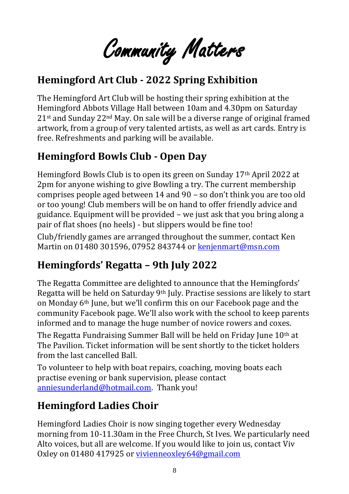Community Matters

#### **Hemingford Art Club - 2022 Spring Exhibition**

The Hemingford Art Club will be hosting their spring exhibition at the Hemingford Abbots Village Hall between 10am and 4.30pm on Saturday  $21$ <sup>st</sup> and Sunday  $22<sup>nd</sup>$  May. On sale will be a diverse range of original framed artwork, from a group of very talented artists, as well as art cards. Entry is free. Refreshments and parking will be available.

#### **Hemingford Bowls Club - Open Day**

Hemingford Bowls Club is to open its green on Sunday 17th April 2022 at 2pm for anyone wishing to give Bowling a try. The current membership comprises people aged between 14 and 90 – so don't think you are too old or too young! Club members will be on hand to offer friendly advice and guidance. Equipment will be provided – we just ask that you bring along a pair of flat shoes (no heels) - but slippers would be fine too!

Club/friendly games are arranged throughout the summer, contact Ken Martin on 01480 301596, 07952 843744 or [kenjenmart@msn.com](mailto:kenjenmart@msn.com)

### **Hemingfords' Regatta – 9th July 2022**

The Regatta Committee are delighted to announce that the Hemingfords' Regatta will be held on Saturday 9th July. Practise sessions are likely to start on Monday 6th June, but we'll confirm this on our Facebook page and the community Facebook page. We'll also work with the school to keep parents informed and to manage the huge number of novice rowers and coxes.

The Regatta Fundraising Summer Ball will be held on Friday June 10<sup>th</sup> at The Pavilion. Ticket information will be sent shortly to the ticket holders from the last cancelled Ball.

To volunteer to help with boat repairs, coaching, moving boats each practise evening or bank supervision, please contact [anniesunderland@hotmail.com.](mailto:anniesunderland@hotmail.com) Thank you!

#### **Hemingford Ladies Choir**

Hemingford Ladies Choir is now singing together every Wednesday morning from 10-11.30am in the Free Church, St Ives. We particularly need Alto voices, but all are welcome. If you would like to join us, contact Viv Oxley on 01480 417925 or [vivienneoxley64@gmail.com](mailto:vivienneoxley64@gmail.com)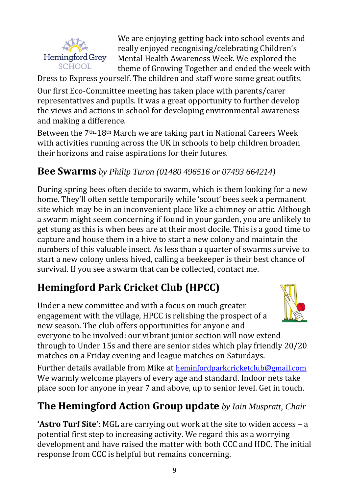

We are enjoying getting back into school events and really enjoyed recognising/celebrating Children's Mental Health Awareness Week. We explored the theme of Growing Together and ended the week with

Dress to Express yourself. The children and staff wore some great outfits.

Our first Eco-Committee meeting has taken place with parents/carer representatives and pupils. It was a great opportunity to further develop the views and actions in school for developing environmental awareness and making a difference.

Between the 7th-18th March we are taking part in National Careers Week with activities running across the UK in schools to help children broaden their horizons and raise aspirations for their futures.

#### **Bee Swarms** *by Philip Turon (01480 496516 or 07493 664214)*

During spring bees often decide to swarm, which is them looking for a new home. They'll often settle temporarily while 'scout' bees seek a permanent site which may be in an inconvenient place like a chimney or attic. Although a swarm might seem concerning if found in your garden, you are unlikely to get stung as this is when bees are at their most docile. This is a good time to capture and house them in a hive to start a new colony and maintain the numbers of this valuable insect. As less than a quarter of swarms survive to start a new colony unless hived, calling a beekeeper is their best chance of survival. If you see a swarm that can be collected, contact me.

### **Hemingford Park Cricket Club (HPCC)**

Under a new committee and with a focus on much greater engagement with the village, HPCC is relishing the prospect of a new season. The club offers opportunities for anyone and

everyone to be involved: our vibrant junior section will now extend through to Under 15s and there are senior sides which play friendly 20/20 matches on a Friday evening and league matches on Saturdays.

Further details available from Mike at [heminfordparkcricketclub@gmail.com](mailto:heminfordparkcricketclub@gmail.com) We warmly welcome players of every age and standard. Indoor nets take place soon for anyone in year 7 and above, up to senior level. Get in touch.

#### **The Hemingford Action Group update** *by Iain Muspratt, Chair*

**'Astro Turf Site'**: MGL are carrying out work at the site to widen access – a potential first step to increasing activity. We regard this as a worrying development and have raised the matter with both CCC and HDC. The initial response from CCC is helpful but remains concerning.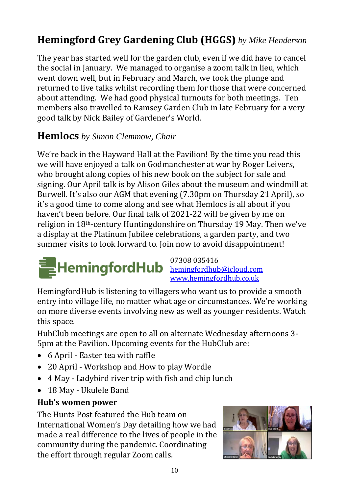#### **Hemingford Grey Gardening Club (HGGS)** *by Mike Henderson*

The year has started well for the garden club, even if we did have to cancel the social in January. We managed to organise a zoom talk in lieu, which went down well, but in February and March, we took the plunge and returned to live talks whilst recording them for those that were concerned about attending. We had good physical turnouts for both meetings. Ten members also travelled to Ramsey Garden Club in late February for a very good talk by Nick Bailey of Gardener's World.

#### **Hemlocs** *by Simon Clemmow, Chair*

We're back in the Hayward Hall at the Pavilion! By the time you read this we will have enjoyed a talk on Godmanchester at war by Roger Leivers, who brought along copies of his new book on the subject for sale and signing. Our April talk is by Alison Giles about the museum and windmill at Burwell. It's also our AGM that evening (7.30pm on Thursday 21 April), so it's a good time to come along and see what Hemlocs is all about if you haven't been before. Our final talk of 2021-22 will be given by me on religion in 18th-century Huntingdonshire on Thursday 19 May. Then we've a display at the Platinum Jubilee celebrations, a garden party, and two summer visits to look forward to. Join now to avoid disappointment!



07308 035416 [www.hemingfordhub.co.uk](http://www.hemingfordhub.co.uk/)

HemingfordHub is listening to villagers who want us to provide a smooth entry into village life, no matter what age or circumstances. We're working on more diverse events involving new as well as younger residents. Watch this space.

HubClub meetings are open to all on alternate Wednesday afternoons 3- 5pm at the Pavilion. Upcoming events for the HubClub are:

- 6 April Easter tea with raffle
- 20 April Workshop and How to play Wordle
- 4 May Ladybird river trip with fish and chip lunch
- 18 May Ukulele Band

#### **Hub's women power**

The Hunts Post featured the Hub team on International Women's Day detailing how we had made a real difference to the lives of people in the community during the pandemic. Coordinating the effort through regular Zoom calls.

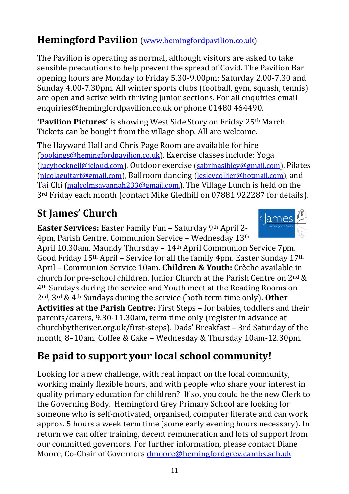#### **Hemingford Pavilion** [\(www.hemingfordpavilion.co.uk\)](http://www.hemingfordpavilion.co.uk/)

The Pavilion is operating as normal, although visitors are asked to take sensible precautions to help prevent the spread of Covid. The Pavilion Bar opening hours are Monday to Friday 5.30-9.00pm; Saturday 2.00-7.30 and Sunday 4.00-7.30pm. All winter sports clubs (football, gym, squash, tennis) are open and active with thriving junior sections. For all enquiries email enquiries@hemingfordpavilion.co.uk or phone 01480 464490.

**'Pavilion Pictures'** is showing West Side Story on Friday 25th March. Tickets can be bought from the village shop. All are welcome.

The Hayward Hall and Chris Page Room are available for hire [\(bookings@hemingfordpavilion.co.uk\)](mailto:bookings@hemingfordpavilion.co.uk). Exercise classes include: Yoga [\(lucyhocknell@icloud.com\)](mailto:lucyhocknell@icloud.com), Outdoor exercise [\(sabrinasibley@gmail.com\)](mailto:sabrinasibley@gmail.com), Pilates [\(nicolaguitart@gmail.com\)](mailto:nicolaguitart@gmail.com), Ballroom dancing [\(lesleycollier@hotmail.com\)](mailto:lesleycollier@hotmail.com), and Tai Chi [\(malcolmsavannah233@gmail.com](mailto:malcolmsavannah233@gmail.com)))[\)](mailto:malcolmsavannah233@gmail.com)). The Village Lunch is held on the 3<sup>rd</sup> Friday each month (contact Mike Gledhill on 07881 922287 for details).

### **St James' Church**

**Easter Services:** Easter Family Fun – Saturday 9th April 2- 4pm, Parish Centre. Communion Service – Wednesday 13th

April 10.30am. Maundy Thursday – 14th April Communion Service 7pm. Good Friday 15th April – Service for all the family 4pm. Easter Sunday 17th April – Communion Service 10am. **Children & Youth:** Crèche available in church for pre-school children. Junior Church at the Parish Centre on 2nd & 4th Sundays during the service and Youth meet at the Reading Rooms on 2nd, 3rd & 4th Sundays during the service (both term time only). **Other Activities at the Parish Centre:** First Steps – for babies, toddlers and their parents/carers, 9.30-11.30am, term time only (register in advance at churchbytheriver.org.uk/first-steps). Dads' Breakfast – 3rd Saturday of the month, 8–10am. Coffee & Cake – Wednesday & Thursday 10am-12.30pm.

#### **Be paid to support your local school community!**

Looking for a new challenge, with real impact on the local community, working mainly flexible hours, and with people who share your interest in quality primary education for children? If so, you could be the new Clerk to the Governing Body. Hemingford Grey Primary School are looking for someone who is self-motivated, organised, computer literate and can work approx. 5 hours a week term time (some early evening hours necessary). In return we can offer training, decent remuneration and lots of support from our committed governors. For further information, please contact Diane Moore, Co-Chair of Governors [dmoore@hemingfordgrey.cambs.sch.uk](mailto:dmoore@hemingfordgrey.cambs.sch.uk)